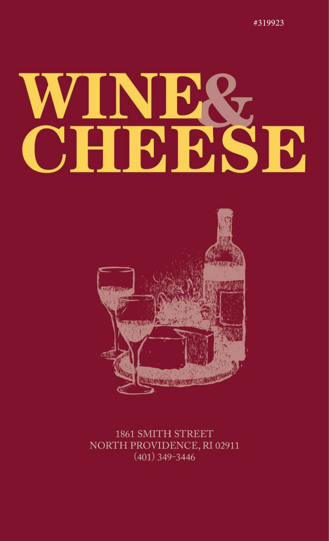#319923

# N Н, **CHICLES B**



### 1861 SMITH STREET NORTH PROVIDENCE, RI 02911  $(401)$  349-3446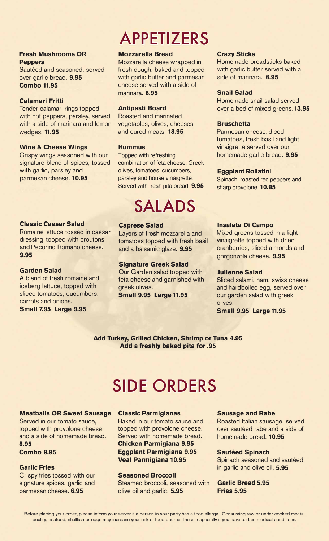#### **Fresh Mushrooms OR Peppers**

Sautéed and seasoned, served over garlic bread. **9.95 Combo 11.95** 

#### **Calamari Fritti**

Tender calamari rings topped with hot peppers, parsley, served with a side of marinara and lemon wedges. **11.95** 

#### **Wine & Cheese Wings**

Crispy wings seasoned with our signature blend of spices, tossed with garlic, parsley and parmesan cheese. **10.95** 

#### **Classic Caesar Salad**

Romaine lettuce tossed in caesar dressing, topped with croutons and Pecarina Romano cheese. **9.95** 

#### **Garden Salad**

A blend of fresh romaine and iceberg lettuce, topped with sliced tomatoes, cucumbers, carrots and onions.

**Small 7.95 Large 9.95** 

# **APPETIZERS**

#### **Mozzarella Bread**

Mozzarella cheese wrapped in fresh dough, baked and topped with garlic butter and parmesan cheese served with a side of marinara. **8.95** 

#### **Antipasti Board**

Roasted and marinated vegetables, olives, cheeses and cured meats. **18.95** 

#### **Hummus**

Topped with refreshing combination of feta cheese, Greek olives, tomatoes, cucumbers, parsley and house vinaigrette. Served with fresh pita bread. **9.95** 

### **SALADS**

#### **Caprese Salad**

Layers of fresh mozzarella and tomatoes topped with fresh basil and a balsamic glaze. **9.95** 

#### **Signature Greek Salad**

Our Garden salad topped with feta cheese and garnished with greek olives.

**Small 9.95 Large 11.95** 

#### **Crazy Sticks**

Homemade breadsticks baked with garlic butter served with a side of marinara. **6.95** 

#### **Snail Salad**

Homemade snail salad served over a bed of mixed greens. **13.95**

#### **Bruschetta**

Parmesan cheese, diced tomatoes, fresh basil and light vinaigrette served over our homemade garlic bread. **9.95**

#### **Eggplant Rollatini**

Spinach, roasted red peppers and sharp provolone. **10.95** 

#### **lnsalata Di Campo**

Mixed greens tossed in a light vinaigrette topped with dried cranberries, sliced almonds and gorgonzola cheese. **9.95**

#### **Julienne Salad**

Sliced salami, ham, swiss cheese and hardboiled egg, served over our garden salad with greek olives.

**Small 9.95 Large 11.95** 

**Add Turkey, Grilled Chicken, Shrimp or Tuna 4.95 Add a freshly baked pita for .95** 

### **SIDE ORDERS**

#### **Meatballs OR Sweet Sausage**

Served in our tomato sauce, topped with provolone cheese and a side of homemade bread. **8.95** 

**Combo 9.95** 

#### **Garlic Fries**

Crispy fries tossed with our signature spices, garlic and parmesan cheese. **6.95** 

#### **Classic Parmigianas**

Baked in our tomato sauce and topped with provolone cheese. Served with homemade bread. **Chicken Parmigiana 9.95 Eggplant Parmigiana 9.95 Veal Parmigiana 10.95** 

**Seasoned Broccoli**  Steamed broccoli, seasoned with olive oil and garlic. **5.95** 

#### **Sausage and Rabe**

Roasted Italian sausage, served over sautéed rabe and a side of homemade bread. **10.95** 

#### **Sautéed Spinach**

Spinach seasoned and sautéed in garlic and olive oil. **5.95** 

#### **Garlic Bread 5.95 Fries 5.95**

Before placing your order, please inform your server if a person in your party has a food allergy. Consuming raw or under cooked meats, poultry, seafood, shellfish or eggs may increase your risk of food-bourne illness, especially if you have certain medical conditions.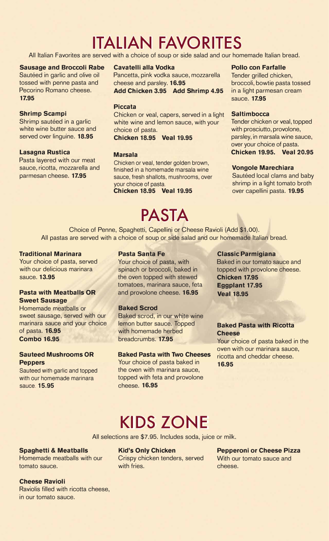# **ITALIAN FAVORITES**

All Italian Favorites are served with a choice of soup or side salad and our homemade Italian bread.

#### **Sausage and Broccoli Rabe**

Sautéed in garlic and olive oil tossed with penne pasta and Pecarina Romano cheese. **17.95** 

#### **Shrimp Scampi**

Shrimp sautéed in a garlic white wine butter sauce and served over linguine. **18.95**

#### **Lasagna Rustica**

Pasta layered with our meat sauce, ricotta, mozzarella and parmesan cheese. **17.95** 

#### **Cavatelli alla Vodka**

Pancetta, pink vodka sauce, mozzarella cheese and parsley. **16.95** 

**Add Chicken 3.95 Add Shrimp 4.95** 

#### **Piccata**

Chicken or veal, capers, served in a light white wine and lemon sauce, with your choice of pasta.

#### **Chicken 18.95 Veal 19.95**

#### **Marsala**

Chicken or veal, tender golden brown, finished in a homemade marsala wine sauce, fresh shallots, mushrooms, over your choice of pasta.

**Chicken 18.95 Veal 19.95**

### **PASTA**

#### **Pollo con Farfalle**

Tender grilled chicken, broccoli, bowtie pasta tossed in a light parmesan cream sauce. **17.95** 

#### **Saltimbocca**

Tender chicken or veal, topped with prosciutto, provolone, parsley, in marsala wine sauce, over your choice of pasta. **Chicken 19.95. Veal 20.95** 

#### **Vongole Marechiara**

Sautéed local clams and baby shrimp in a light tomato broth over capellini pasta. **19.95**

Choice of Penne, Spaghetti, Capellini or Cheese Ravioli (Add \$1.00). All pastas are served with a choice of soup or side salad and our homemade Italian bread.

#### **Traditional Marinara**

Your choice of pasta, served with our delicious marinara sauce. **13.95** 

#### **Pasta with Meatballs OR Sweet Sausage**

Homemade meatballs or sweet sausage, served with our marinara sauce and your choice of pasta. **16.95 Combo 16.95** 

#### **Sauteed Mushrooms OR Peppers**

Sauteed with garlic and topped with our homemade marinara sauce. **15.95**

#### **Pasta Santa Fe**

Your choice of pasta, with spinach or broccoli, baked in the oven topped with stewed tomatoes, marinara sauce, feta and provolone cheese. **16.95** 

#### **Baked Scrod**

Baked scrod, in our white wine lemon butter sauce. Topped with homemade herbed breadcrumbs. **17.95** 

#### **Baked Pasta with Two Cheeses**

Your choice of pasta baked in the oven with marinara sauce, topped with feta and provolone cheese. **16.95** 

#### **Classic Parmigiana**

Baked in our tomato sauce and topped with provolone cheese. **Chicken 17.95 Eggplant 17.95 Veal 18.95**

#### **Baked Pasta with Ricotta Cheese**

Your choice of pasta baked in the oven with our marinara sauce, ricotta and cheddar cheese. **16.95** 

### **KIDS ZONE**

All selections are \$7.95. Includes soda, juice or milk.

#### **Spaghetti & Meatballs**

Homemade meatballs with our tomato sauce.

**Kid's Only Chicken** 

Crispy chicken tenders, served with fries.

#### **Pepperoni or Cheese Pizza**  With our tomato sauce and cheese.

**Cheese Ravioli** 

Raviolis filled with ricotta cheese, in our tomato sauce.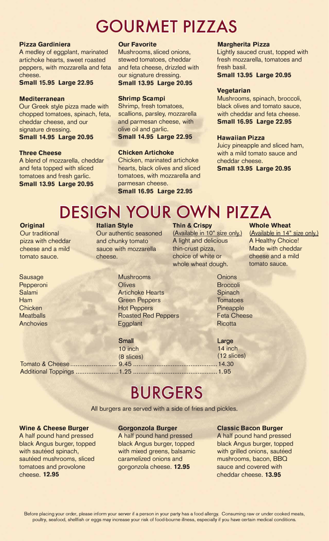### **GOURMET PIZZAS**

#### **Pizza Gardiniera**

A medley of eggplant, marinated artichoke hearts, sweet roasted peppers, with mozzarella and feta cheese.

#### **Small 15.95 Large 22.95**

#### **Mediterranean**

Our Greek style pizza made with chopped tomatoes, spinach, feta, cheddar cheese, and our signature dressing. **Small 14.95 Large 20.95**

#### **Three Cheese**

A blend of mozzarella, cheddar and feta topped with sliced tomatoes and fresh garlic. **Small 13.95 Large 20.95** 

#### **Our Favorite**

Mushrooms, sliced onions, stewed tomatoes, cheddar and feta cheese, drizzled with our signature dressing. **Small 13.95 Large 20.95** 

#### **Shrimp Scampi**

Shrimp, fresh tomatoes, scallions, parsley, mozzarella and parmesan cheese, with olive oil and garlic. **Small 14.95 Large 22.95**

#### **Chicken Artichoke**

Chicken, marinated artichoke hearts, black olives and sliced tomatoes, with mozzarella and parmesan cheese. **Small 16.95 Large 22.95**

#### **Margherita Pizza**

Lightly sauced crust, topped with fresh mozzarella, tomatoes and fresh basil.

**Small 13.95 Large 20.95** 

#### **Vegetarian**

Mushrooms, spinach, broccoli, black olives and tomato sauce, with cheddar and feta cheese. **Small 16.95 Large 22.95**

#### **Hawaiian Pizza**

Juicy pineapple and sliced ham, with a mild tomato sauce and cheddar cheese.

**Small 13.95 Large 20.95**

# **DESIGN YOUR OWN PIZZA**

#### **Original**

Our traditional pizza with cheddar cheese and a mild tomato sauce.

Sausage Pepperoni Salami Ham **Chicken Meatballs Anchovies**  Our authentic seasoned and chunky tomato sauce with mozzarella cheese.

**Italian Style** 

#### **Thin & Crispy**

(Available in 10" size only.) A light and delicious thin-crust pizza, choice of white or whole wheat dough.

#### **Whole Wheat**

(Available in 14" size only.) A Healthy Choice! Made with cheddar cheese and a mild tomato sauce.

**Mushrooms Olives** Artichoke Hearts Green Peppers Hot Peppers Roasted Red Peppers **Eggplant** 

#### **Small**

10 inch (8 slices) (12 slices) Tomato & Cheese .......................... 9.45 ...............................................14.30 Additional Toppings ........................ 1.25 ............................................... 1. 95

**Onions Broccoli Spinach Tomatoes Pineapple** Feta Cheese **Ricotta** 

Large 14 inch

### **BURGERS**

All burgers are served with a side of fries and pickles.

#### **Wine & Cheese Burger**

A half pound hand pressed black Angus burger, topped with sautéed spinach, sautéed mushrooms, sliced tomatoes and provolone cheese. **12.95** 

#### **Gorgonzola Burger**

A half pound hand pressed black Angus burger, topped with mixed greens, balsamic caramelized onions and gorgonzola cheese. **12.95** 

#### **Classic Bacon Burger**

A half pound hand pressed black Angus burger, topped with grilled onions, sautéed mushrooms, bacon, BBQ sauce and covered with cheddar cheese. **13.95**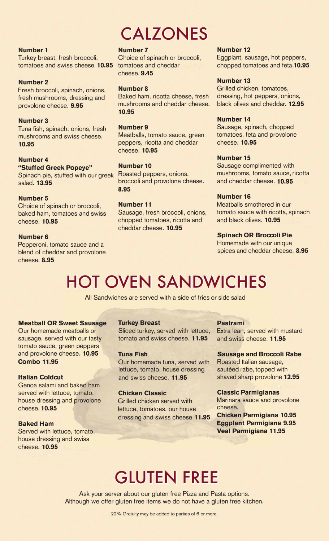# **CALZONES**

#### **Number 1**

Turkey breast, fresh broccoli, tomatoes and swiss cheese. **10.95** 

#### **Number 2**

Fresh broccoli, spinach, onions, fresh mushrooms, dressing and provolone cheese. **9.95** 

#### **Number 3**

Tuna fish, spinach, onions, fresh mushrooms and swiss cheese. **10.95** 

### **Number 4**

**"Stuffed Greek Popeye"**  Spinach pie, stuffed with our greek salad. **13.95** 

#### **Number 5**

Choice of spinach or broccoli, baked ham, tomatoes and swiss cheese. **10.95** 

#### **Number 6**

Pepperoni, tomato sauce and a blend of cheddar and provolone cheese. **8.95** 

#### **Number 7**

Choice of spinach or broccoli, tomatoes and cheddar cheese. **9.45** 

#### **Number 8**

Baked ham, ricotta cheese, fresh mushrooms and cheddar cheese. **10.95** 

#### **Number 9**

Meatballs, tomato sauce, green peppers, ricotta and cheddar cheese. **10.95** 

#### **Number 10**

Roasted peppers, onions, broccoli and provolone cheese. **8.95** 

#### **Number 11**

Sausage, fresh broccoli, onions, chopped tomatoes, ricotta and cheddar cheese. **10.95** 

#### **Number 12**

Eggplant, sausage, hot peppers, chopped tomatoes and feta.**10.95** 

#### **Number 13**

Grilled chicken, tomatoes, dressing, hot peppers, onions, black olives and cheddar. **12.95** 

#### **Number 14**

Sausage, spinach, chopped tomatoes, feta and provolone cheese. **10.95** 

#### **Number 15**

Sausage complimented with mushrooms, tomato sauce, ricotta and cheddar cheese. **10.95** 

#### **Number 16**

Meatballs smothered in our tomato sauce with ricotta, spinach and black olives. **10.95** 

#### **Spinach OR Broccoli Pie**

Homemade with our unique spices and cheddar cheese. **8.95** 

# **HOT OVEN SANDWICHES**

All Sandwiches are served with a side of fries or side salad

#### **Meatball OR Sweet Sausage**

Our homemade meatballs or sausage, served with our tasty tomato sauce, green peppers and provolone cheese. **10.95 Combo 11.95** 

#### **Italian Coldcut**

Genoa salami and baked ham served with lettuce, tomato, house dressing and provolone cheese. **10.95** 

#### **Baked Ham**

Served with lettuce, tomato, house dressing and swiss cheese. **10.95** 

#### **Turkey Breast**

Sliced turkey, served with lettuce, tomato and swiss cheese. **11.95** 

#### **Tuna Fish**

Our homemade tuna, served with lettuce, tomato, house dressing and swiss cheese. **11.95**

#### **Chicken Classic**

Grilled chicken served with lettuce, tomatoes, our house dressing and swiss cheese **11.95** 

#### **Pastrami**

Extra lean, served with mustard and swiss cheese. **11.95** 

#### **Sausage and Broccoli Rabe**

Roasted Italian sausage, sautéed rabe, topped with shaved sharp provolone **12.95** 

#### **Classic Parmigianas**

Marinara sauce and provolone cheese.

**Chicken Parmigiana 10.95 Eggplant Parmigiana 9.95 Veal Parmigiana 11.95** 

### **GLUTEN FREE**

Ask your server about our gluten free Pizza and Pasta options. Although we offer gluten free items we do not have a gluten free kitchen.